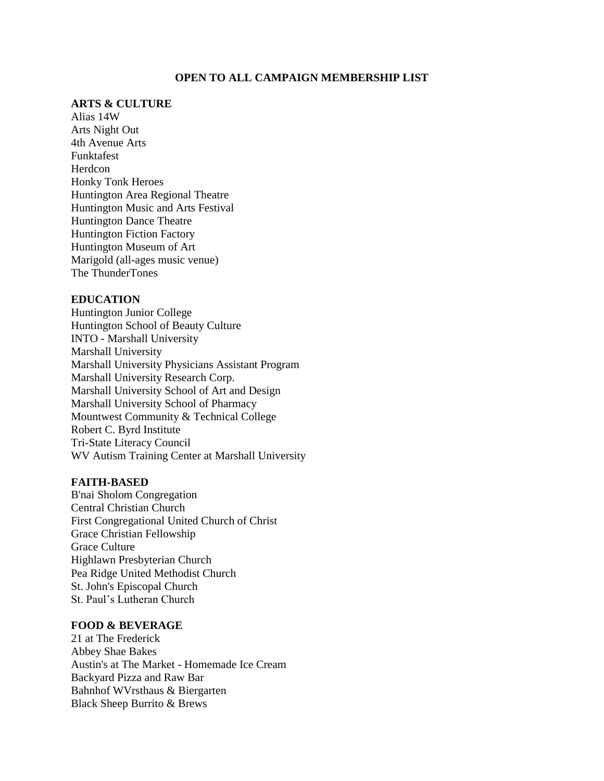## **OPEN TO ALL CAMPAIGN MEMBERSHIP LIST**

# **ARTS & CULTURE**

Alias 14W Arts Night Out 4th Avenue Arts Funktafest Herdcon Honky Tonk Heroes Huntington Area Regional Theatre Huntington Music and Arts Festival Huntington Dance Theatre Huntington Fiction Factory Huntington Museum of Art Marigold (all-ages music venue) The ThunderTones

## **EDUCATION**

Huntington Junior College Huntington School of Beauty Culture INTO - Marshall University Marshall University Marshall University Physicians Assistant Program Marshall University Research Corp. Marshall University School of Art and Design Marshall University School of Pharmacy Mountwest Community & Technical College Robert C. Byrd Institute Tri-State Literacy Council WV Autism Training Center at Marshall University

#### **FAITH-BASED**

B'nai Sholom Congregation Central Christian Church First Congregational United Church of Christ Grace Christian Fellowship Grace Culture Highlawn Presbyterian Church Pea Ridge United Methodist Church St. John's Episcopal Church St. Paul's Lutheran Church

# **FOOD & BEVERAGE**

21 at The Frederick Abbey Shae Bakes Austin's at The Market - Homemade Ice Cream Backyard Pizza and Raw Bar Bahnhof WVrsthaus & Biergarten Black Sheep Burrito & Brews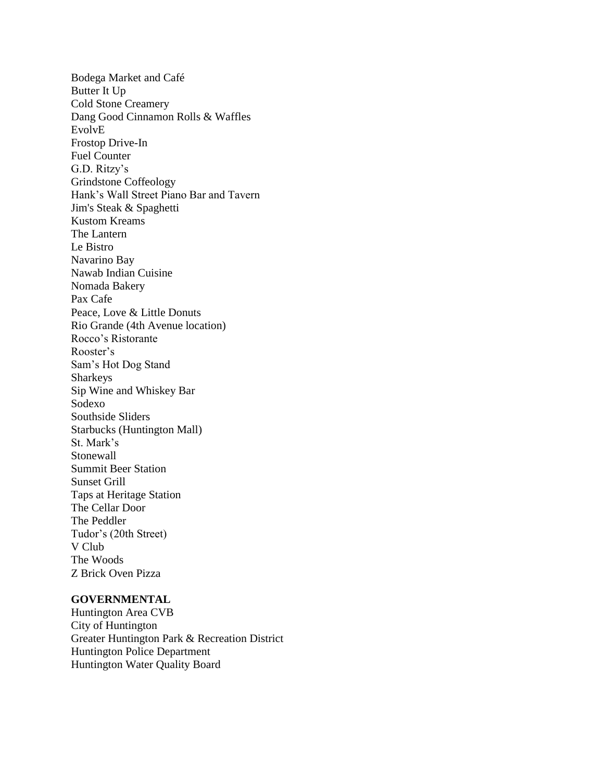Bodega Market and Café Butter It Up Cold Stone Creamery Dang Good Cinnamon Rolls & Waffles EvolvE Frostop Drive-In Fuel Counter G.D. Ritzy's Grindstone Coffeology Hank's Wall Street Piano Bar and Tavern Jim's Steak & Spaghetti Kustom Kreams The Lantern Le Bistro Navarino Bay Nawab Indian Cuisine Nomada Bakery Pax Cafe Peace, Love & Little Donuts Rio Grande (4th Avenue location) Rocco's Ristorante Rooster's Sam's Hot Dog Stand Sharkeys Sip Wine and Whiskey Bar Sodexo Southside Sliders Starbucks (Huntington Mall) St. Mark's Stonewall Summit Beer Station Sunset Grill Taps at Heritage Station The Cellar Door The Peddler Tudor's (20th Street) V Club The Woods Z Brick Oven Pizza

### **GOVERNMENTAL**

Huntington Area CVB City of Huntington Greater Huntington Park & Recreation District Huntington Police Department Huntington Water Quality Board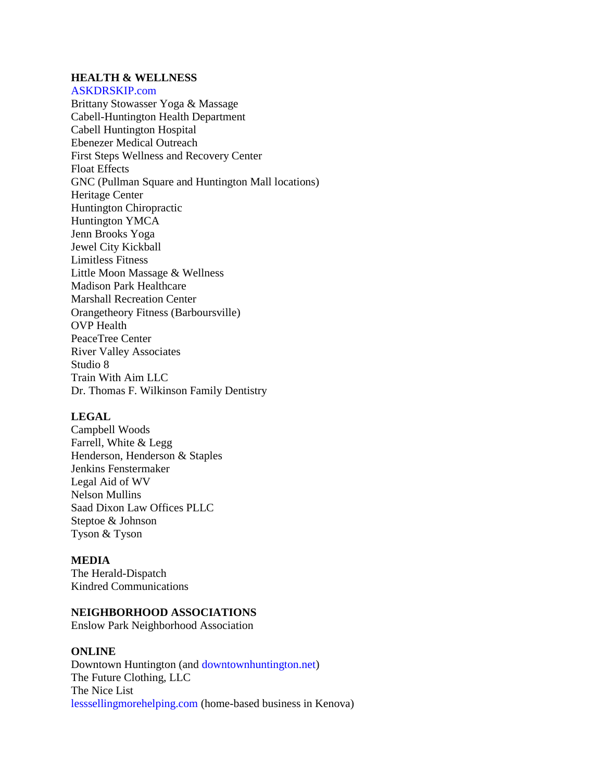# **HEALTH & WELLNESS**

[ASKDRSKIP.com](https://l.facebook.com/l.php?u=http%3A%2F%2FASKDRSKIP.com%2F%3Ffbclid%3DIwAR1WuQQNUPS66Jk7ug6ZfZinUL6fjqnn5sVkdo33KXvyinIOUaaLzQFMd-M&h=AT3iJybzZlw5W55bUded1SP3LCtu2qM2EG7DCH9hY8vsS9a0keZghTbzu7KnA3q3K7eVmvcH6ODsAyoSdsiwXKzpb6GaaLU0e6sdDHoxF7mewkxy2UKhcxqV0AwI74PGGg&__tn__=-UK-R&c%5b0%5d=AT2icEV6oZjivrCkdi49ufeXPqA2Pnu753nZKzYsdNeOKJkFJuqv2dy92TVTu2PUGTl2Ucy2H0InZmBMeZZmIxUw1X_2RnzGZKbvHGhU2SeC3KFtvgaWLkX53vlw2GeMAp9vZWyrAiM57VHnT1lUNYXaJmV32ZkenRxzJrW6)

Brittany Stowasser Yoga & Massage Cabell-Huntington Health Department Cabell Huntington Hospital Ebenezer Medical Outreach First Steps Wellness and Recovery Center Float Effects GNC (Pullman Square and Huntington Mall locations) Heritage Center Huntington Chiropractic Huntington YMCA Jenn Brooks Yoga Jewel City Kickball Limitless Fitness Little Moon Massage & Wellness Madison Park Healthcare Marshall Recreation Center Orangetheory Fitness (Barboursville) OVP Health PeaceTree Center River Valley Associates Studio 8 Train With Aim LLC Dr. Thomas F. Wilkinson Family Dentistry

#### **LEGAL**

Campbell Woods Farrell, White & Legg Henderson, Henderson & Staples Jenkins Fenstermaker Legal Aid of WV Nelson Mullins Saad Dixon Law Offices PLLC Steptoe & Johnson Tyson & Tyson

### **MEDIA**

The Herald-Dispatch Kindred Communications

### **NEIGHBORHOOD ASSOCIATIONS**

Enslow Park Neighborhood Association

### **ONLINE**

Downtown Huntington (and [downtownhuntington.net\)](https://l.facebook.com/l.php?u=http%3A%2F%2Fdowntownhuntington.net%2F%3Ffbclid%3DIwAR1nba5L4l9M_Yq4qvajJX13TKtWjrJ-fiGowedfBtvIXxhXa-oYfCA3hNU&h=AT1wYLqaoFuPvWgmFsaDFQjecAj7owjpRQljHBjDCkqJQWsax8xZSjM-CPNDnxkiDWWsc4IaWkNW0s8WzwoxIkmT9wbfpqWUnBmjARH0KasgJdX_iA2BW78E53pPUouB0A&__tn__=-UK-R&c%5b0%5d=AT2icEV6oZjivrCkdi49ufeXPqA2Pnu753nZKzYsdNeOKJkFJuqv2dy92TVTu2PUGTl2Ucy2H0InZmBMeZZmIxUw1X_2RnzGZKbvHGhU2SeC3KFtvgaWLkX53vlw2GeMAp9vZWyrAiM57VHnT1lUNYXaJmV32ZkenRxzJrW6) The Future Clothing, LLC The Nice List [lesssellingmorehelping.com](https://l.facebook.com/l.php?u=http%3A%2F%2Flesssellingmorehelping.com%2F%3Ffbclid%3DIwAR3rXo2Fpk5ITS1jrwmLwZC8vBNuDi4gjGZjFOqMCdLnUC-bpkeUE8ofcPs&h=AT0vu8vT6oI7owxcfZqxI80N_zeTDQVGKlzqyHMIRu4mzIz5rGwI4mi7fqL8Oydi9DM6NGoRq-r9NsucycF2exmFLj9SXmc64675ISTCFyJMabtiB7vDKPxQ8TFyv-Vq9A&__tn__=-UK-R&c%5b0%5d=AT2icEV6oZjivrCkdi49ufeXPqA2Pnu753nZKzYsdNeOKJkFJuqv2dy92TVTu2PUGTl2Ucy2H0InZmBMeZZmIxUw1X_2RnzGZKbvHGhU2SeC3KFtvgaWLkX53vlw2GeMAp9vZWyrAiM57VHnT1lUNYXaJmV32ZkenRxzJrW6) (home-based business in Kenova)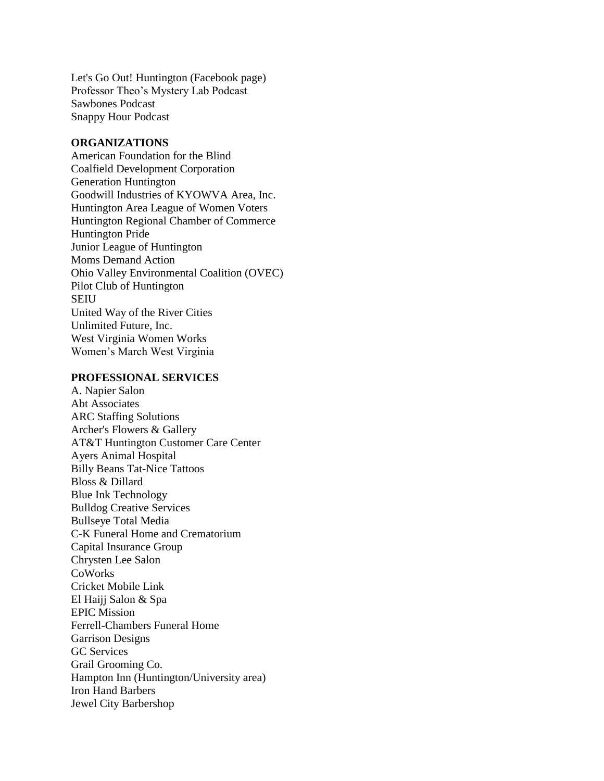Let's Go Out! Huntington (Facebook page) Professor Theo's Mystery Lab Podcast Sawbones Podcast Snappy Hour Podcast

### **ORGANIZATIONS**

American Foundation for the Blind Coalfield Development Corporation Generation Huntington Goodwill Industries of KYOWVA Area, Inc. Huntington Area League of Women Voters Huntington Regional Chamber of Commerce Huntington Pride Junior League of Huntington Moms Demand Action Ohio Valley Environmental Coalition (OVEC) Pilot Club of Huntington SEIU United Way of the River Cities Unlimited Future, Inc. West Virginia Women Works Women's March West Virginia

#### **PROFESSIONAL SERVICES**

A. Napier Salon Abt Associates ARC Staffing Solutions Archer's Flowers & Gallery AT&T Huntington Customer Care Center Ayers Animal Hospital Billy Beans Tat-Nice Tattoos Bloss & Dillard Blue Ink Technology Bulldog Creative Services Bullseye Total Media C-K Funeral Home and Crematorium Capital Insurance Group Chrysten Lee Salon CoWorks Cricket Mobile Link El Haijj Salon & Spa EPIC Mission Ferrell-Chambers Funeral Home Garrison Designs GC Services Grail Grooming Co. Hampton Inn (Huntington/University area) Iron Hand Barbers Jewel City Barbershop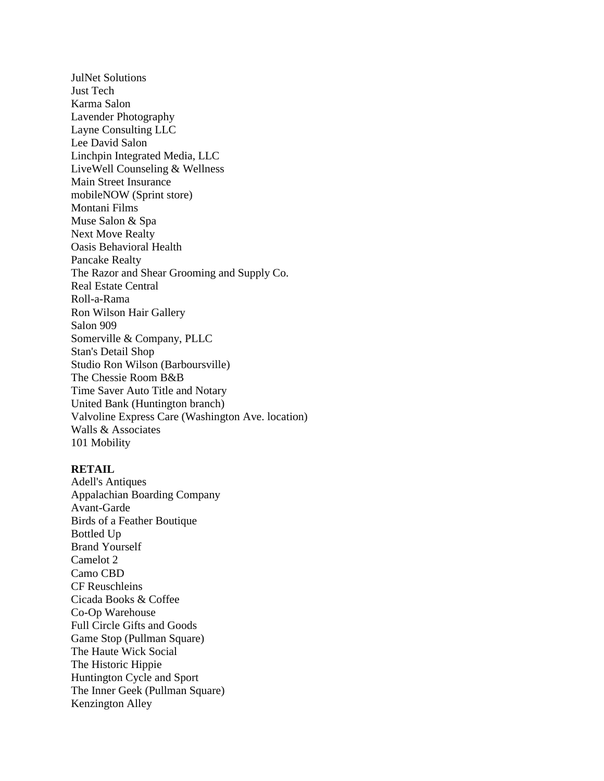JulNet Solutions Just Tech Karma Salon Lavender Photography Layne Consulting LLC Lee David Salon Linchpin Integrated Media, LLC LiveWell Counseling & Wellness Main Street Insurance mobileNOW (Sprint store) Montani Films Muse Salon & Spa Next Move Realty Oasis Behavioral Health Pancake Realty The Razor and Shear Grooming and Supply Co. Real Estate Central Roll-a-Rama Ron Wilson Hair Gallery Salon 909 Somerville & Company, PLLC Stan's Detail Shop Studio Ron Wilson (Barboursville) The Chessie Room B&B Time Saver Auto Title and Notary United Bank (Huntington branch) Valvoline Express Care (Washington Ave. location) Walls & Associates 101 Mobility

### **RETAIL**

Adell's Antiques Appalachian Boarding Company Avant-Garde Birds of a Feather Boutique Bottled Up Brand Yourself Camelot 2 Camo CBD CF Reuschleins Cicada Books & Coffee Co-Op Warehouse Full Circle Gifts and Goods Game Stop (Pullman Square) The Haute Wick Social The Historic Hippie Huntington Cycle and Sport The Inner Geek (Pullman Square) Kenzington Alley